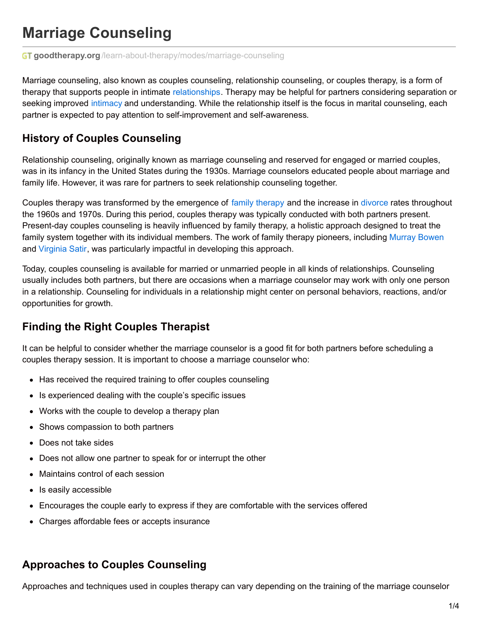# **Marriage Counseling**

**GT goodtherapy.org**[/learn-about-therapy/modes/marriage-counseling](https://www.goodtherapy.org/learn-about-therapy/modes/marriage-counseling)

Marriage counseling, also known as couples counseling, relationship counseling, or couples therapy, is a form of therapy that supports people in intimate [relationships](https://www.goodtherapy.org/learn-about-therapy/issues/relationships). Therapy may be helpful for partners considering separation or seeking improved [intimacy](https://www.goodtherapy.org/blog/psychpedia/intimacy) and understanding. While the relationship itself is the focus in marital counseling, each partner is expected to pay attention to self-improvement and self-awareness.

#### **History of Couples Counseling**

Relationship counseling, originally known as marriage counseling and reserved for engaged or married couples, was in its infancy in the United States during the 1930s. Marriage counselors educated people about marriage and family life. However, it was rare for partners to seek relationship counseling together.

Couples [therapy](https://www.goodtherapy.org/learn-about-therapy/modes/family-therapy) was transformed by the emergence of family therapy and the increase in [divorce](https://www.goodtherapy.org/learn-about-therapy/issues/divorce) rates throughout the 1960s and 1970s. During this period, couples therapy was typically conducted with both partners present. Present-day couples counseling is heavily influenced by family therapy, a holistic approach designed to treat the family system together with its individual members. The work of family therapy pioneers, including [Murray](https://www.goodtherapy.org/famous-psychologists/murray-bowen.html) Bowen and [Virginia](https://www.goodtherapy.org/famous-psychologists/virginia-satir.html) Satir, was particularly impactful in developing this approach.

Today, couples counseling is available for married or unmarried people in all kinds of relationships. Counseling usually includes both partners, but there are occasions when a marriage counselor may work with only one person in a relationship. Counseling for individuals in a relationship might center on personal behaviors, reactions, and/or opportunities for growth.

#### **Finding the Right Couples Therapist**

It can be helpful to consider whether the marriage counselor is a good fit for both partners before scheduling a couples therapy session. It is important to choose a marriage counselor who:

- Has received the required training to offer couples counseling
- Is experienced dealing with the couple's specific issues
- Works with the couple to develop a therapy plan
- Shows compassion to both partners
- Does not take sides
- Does not allow one partner to speak for or interrupt the other
- Maintains control of each session
- Is easily accessible
- Encourages the couple early to express if they are comfortable with the services offered
- Charges affordable fees or accepts insurance

# **Approaches to Couples Counseling**

Approaches and techniques used in couples therapy can vary depending on the training of the marriage counselor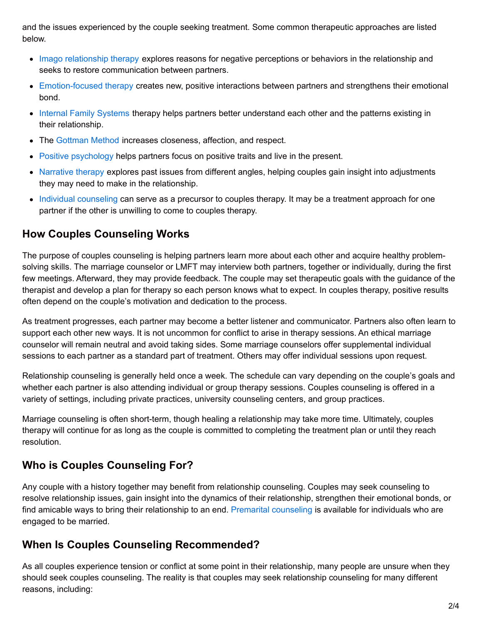and the issues experienced by the couple seeking treatment. Some common therapeutic approaches are listed below.

- Imago [relationship](https://www.goodtherapy.org/learn-about-therapy/types/imago) therapy explores reasons for negative perceptions or behaviors in the relationship and seeks to restore communication between partners.
- [Emotion-focused](https://www.goodtherapy.org/learn-about-therapy/types/emotion-focused-therapy) therapy creates new, positive interactions between partners and strengthens their emotional bond.
- Internal Family [Systems](https://www.goodtherapy.org/learn-about-therapy/types/internal-family-systems-therapy) therapy helps partners better understand each other and the patterns existing in their relationship.
- The [Gottman](https://www.goodtherapy.org/learn-about-therapy/types/gottman-method) Method increases closeness, affection, and respect.
- Positive [psychology](https://www.goodtherapy.org/learn-about-therapy/types/positive-psychology) helps partners focus on positive traits and live in the present.
- [Narrative](https://www.goodtherapy.org/learn-about-therapy/types/narrative-therapy) therapy explores past issues from different angles, helping couples gain insight into adjustments they may need to make in the relationship.
- Individual [counseling](https://www.goodtherapy.org/learn-about-therapy/modes/individual-therapy) can serve as a precursor to couples therapy. It may be a treatment approach for one partner if the other is unwilling to come to couples therapy.

# **How Couples Counseling Works**

The purpose of couples counseling is helping partners learn more about each other and acquire healthy problemsolving skills. The marriage counselor or LMFT may interview both partners, together or individually, during the first few meetings. Afterward, they may provide feedback. The couple may set therapeutic goals with the guidance of the therapist and develop a plan for therapy so each person knows what to expect. In couples therapy, positive results often depend on the couple's motivation and dedication to the process.

As treatment progresses, each partner may become a better listener and communicator. Partners also often learn to support each other new ways. It is not uncommon for conflict to arise in therapy sessions. An ethical marriage counselor will remain neutral and avoid taking sides. Some marriage counselors offer supplemental individual sessions to each partner as a standard part of treatment. Others may offer individual sessions upon request.

Relationship counseling is generally held once a week. The schedule can vary depending on the couple's goals and whether each partner is also attending individual or group therapy sessions. Couples counseling is offered in a variety of settings, including private practices, university counseling centers, and group practices.

Marriage counseling is often short-term, though healing a relationship may take more time. Ultimately, couples therapy will continue for as long as the couple is committed to completing the treatment plan or until they reach resolution.

# **Who is Couples Counseling For?**

Any couple with a history together may benefit from relationship counseling. Couples may seek counseling to resolve relationship issues, gain insight into the dynamics of their relationship, strengthen their emotional bonds, or find amicable ways to bring their relationship to an end. Premarital [counseling](https://www.goodtherapy.org/learn-about-therapy/modes/premarital-counseling) is available for individuals who are engaged to be married.

# **When Is Couples Counseling Recommended?**

As all couples experience tension or conflict at some point in their relationship, many people are unsure when they should seek couples counseling. The reality is that couples may seek relationship counseling for many different reasons, including: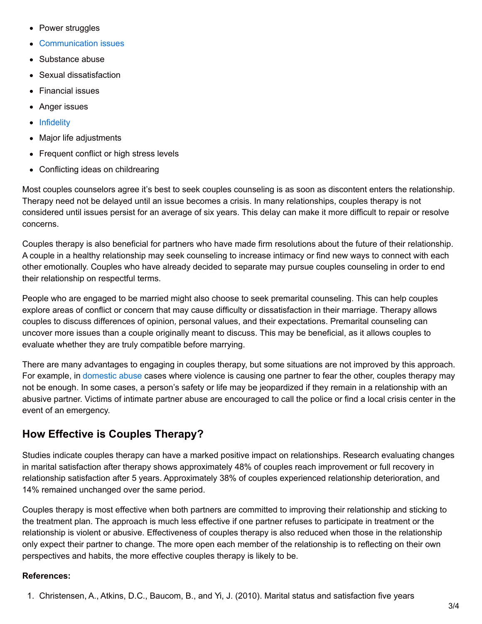- Power struggles
- [Communication](https://www.goodtherapy.org/learn-about-therapy/issues/communication-issues) issues
- Substance abuse
- Sexual dissatisfaction
- Financial issues
- Anger issues
- [Infidelity](https://www.goodtherapy.org/learn-about-therapy/issues/infidelity)
- Major life adjustments
- Frequent conflict or high stress levels
- Conflicting ideas on childrearing

Most couples counselors agree it's best to seek couples counseling is as soon as discontent enters the relationship. Therapy need not be delayed until an issue becomes a crisis. In many relationships, couples therapy is not considered until issues persist for an average of six years. This delay can make it more difficult to repair or resolve concerns.

Couples therapy is also beneficial for partners who have made firm resolutions about the future of their relationship. A couple in a healthy relationship may seek counseling to increase intimacy or find new ways to connect with each other emotionally. Couples who have already decided to separate may pursue couples counseling in order to end their relationship on respectful terms.

People who are engaged to be married might also choose to seek premarital counseling. This can help couples explore areas of conflict or concern that may cause difficulty or dissatisfaction in their marriage. Therapy allows couples to discuss differences of opinion, personal values, and their expectations. Premarital counseling can uncover more issues than a couple originally meant to discuss. This may be beneficial, as it allows couples to evaluate whether they are truly compatible before marrying.

There are many advantages to engaging in couples therapy, but some situations are not improved by this approach. For example, in [domestic](https://www.goodtherapy.org/learn-about-therapy/issues/domestic-violence) abuse cases where violence is causing one partner to fear the other, couples therapy may not be enough. In some cases, a person's safety or life may be jeopardized if they remain in a relationship with an abusive partner. Victims of intimate partner abuse are encouraged to call the police or find a local crisis center in the event of an emergency.

#### **How Effective is Couples Therapy?**

Studies indicate couples therapy can have a marked positive impact on relationships. Research evaluating changes in marital satisfaction after therapy shows approximately 48% of couples reach improvement or full recovery in relationship satisfaction after 5 years. Approximately 38% of couples experienced relationship deterioration, and 14% remained unchanged over the same period.

Couples therapy is most effective when both partners are committed to improving their relationship and sticking to the treatment plan. The approach is much less effective if one partner refuses to participate in treatment or the relationship is violent or abusive. Effectiveness of couples therapy is also reduced when those in the relationship only expect their partner to change. The more open each member of the relationship is to reflecting on their own perspectives and habits, the more effective couples therapy is likely to be.

#### **References:**

<sup>1.</sup> Christensen, A., Atkins, D.C., Baucom, B., and Yi, J. (2010). Marital status and satisfaction five years